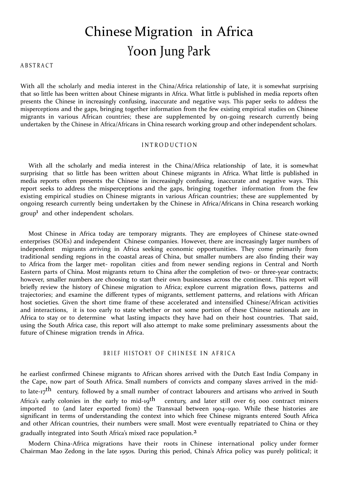# Chinese Migration in Africa Yoon Jung Park

**ABSTRACT** 

With all the scholarly and media interest in the China/Africa relationship of late, it is somewhat surprising that so little has been written about Chinese migrants in Africa. What little is published in media reports often presents the Chinese in increasingly confusing, inaccurate and negative ways. This paper seeks to address the misperceptions and the gaps, bringing together information from the few existing empirical studies on Chinese migrants in various African countries; these are supplemented by on-going research currently being undertaken by the Chinese in Africa/Africans in China research working group and other independent scholars.

#### I N T R O D U C T I O N

With all the scholarly and media interest in the China/Africa relationship of late, it is somewhat surprising that so little has been written about Chinese migrants in Africa. What little is published in media reports often presents the Chinese in increasingly confusing, inaccurate and negative ways. This report seeks to address the misperceptions and the gaps, bringing together information from the few existing empirical studies on Chinese migrants in various African countries; these are supplemented by ongoing research currently being undertaken by the Chinese in Africa/Africans in China research working group<sup>1</sup> and other independent scholars.

Most Chinese in Africa today are temporary migrants. They are employees of Chinese state-owned enterprises (SOEs) and independent Chinese companies. However, there are increasingly larger numbers of independent migrants arriving in Africa seeking economic opportunities. They come primarily from traditional sending regions in the coastal areas of China, but smaller numbers are also finding their way to Africa from the larger met- ropolitan cities and from newer sending regions in Central and North Eastern parts of China. Most migrants return to China after the completion of two- or three-year contracts; however, smaller numbers are choosing to start their own businesses across the continent. This report will briefly review the history of Chinese migration to Africa; explore current migration flows, patterns and trajectories; and examine the different types of migrants, settlement patterns, and relations with African host societies. Given the short time frame of these accelerated and intensified Chinese/African activities and interactions, it is too early to state whether or not some portion of these Chinese nationals are in Africa to stay or to determine what lasting impacts they have had on their host countries. That said, using the South Africa case, this report will also attempt to make some preliminary assessments about the future of Chinese migration trends in Africa.

# BRIEF HISTORY OF CHINESE IN AFRICA

he earliest confirmed Chinese migrants to African shores arrived with the Dutch East India Company in the Cape, now part of South Africa. Small numbers of convicts and company slaves arrived in the midto late-17<sup>th</sup> century, followed by a small number of contract labourers and artisans who arrived in South Africa's early colonies in the early to mid-19<sup>th</sup> century, and later still over 63 000 contract miners imported to (and later exported from) the Transvaal between 1904–1910. While these histories are significant in terms of understanding the context into which free Chinese migrants entered South Africa and other African countries, their numbers were small. Most were eventually repatriated to China or they gradually integrated into South Africa'<sup>s</sup> mixed race population.2

Modern China-Africa migrations have their roots in Chinese international policy under former Chairman Mao Zedong in the late 1950s. During this period, China's Africa policy was purely political; it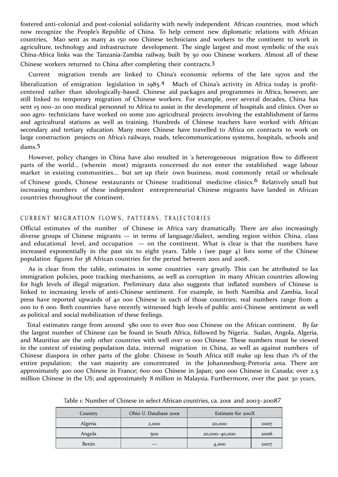fostered anti-colonial and post-colonial solidarity with newly independent African countries, most which now recognize the People's Republic of China. To help cement new diplomatic relations with African countries, Mao sent as many as 150 000 Chinese technicians and workers to the continent to work in agriculture, technology and infrastructure development. The single largest and most symbolic of the era's China-Africa links was the Tanzania-Zambia railway, built by 50 000 Chinese workers. Almost all of these

Chinese workers returned to China after completing their contracts.3

Current migration trends are linked to China's economic reforms of the late 1970s and the liberalization of emigration legislation in 1985.<sup>4</sup> Much of China's activity in Africa today is profitcentered rather than ideologically-based. Chinese aid packages and programmes in Africa, however, are still linked to temporary migration of Chinese workers. For example, over several decades, China has sent 15 000-20 000 medical personnel to Africa to assist in the development of hospitals and clinics. Over 10 000 agro- technicians have worked on some 200 agricultural projects involving the establishment of farms and agricultural stations as well as training. Hundreds of Chinese teachers have worked with African secondary and tertiary education. Many more Chinese have travelled to Africa on contracts to work on large construction projects on Africa's railways, roads, telecommunications systems, hospitals, schools and dams.5

However, policy changes in China have also resulted in 'a heterogeneous migration flow to different parts of the world… (wherein most) migrants concerned do not enter the established wage labour market in existing communities… but set up their own business, most commonly retail or wholesale of Chinese goods, Chinese restaurants or Chinese traditional medicine clinics.<sup>6</sup> Relatively small but increasing numbers of these independent entrepreneurial Chinese migrants have landed in African countries throughout the continent.

# CURRENT MIGRATION FLOWS, PATTERNS, TRAJECTORIES

Official estimates of the number of Chinese in Africa vary dramatically. There are also increasingly diverse groups of Chinese migrants — in terms of language/dialect, sending region within China, class and educational level, and occupation  $-$  on the continent. What is clear is that the numbers have increased exponentially in the past six to eight years. Table 1 (see page 4) lists some of the Chinese population figures for 38 African countries for the period between 2001 and 2008.

As is clear from the table, estimates in some countries vary greatly. This can be attributed to lax immigration policies, poor tracking mechanisms, as well as corruption in many African countries allowing for high levels of illegal migration. Preliminary data also suggests that inflated numbers of Chinese is linked to increasing levels of anti-Chinese sentiment. For example, in both Namibia and Zambia, local press have reported upwards of 40 000 Chinese in each of those countries; real numbers range from 4 000 to 6 000. Both countries have recently witnessed high levels of public anti-Chinese sentiment as well as political and social mobilization of these feelings.

Total estimates range from around 580 000 to over 800 000 Chinese on the African continent. By far the largest number of Chinese can be found in South Africa, followed by Nigeria. Sudan, Angola, Algeria, and Mauritius are the only other countries with well over 10 000 Chinese. These numbers must be viewed in the context of existing population data, internal migration in China, as well as against numbers of Chinese diaspora in other parts of the globe. Chinese in South Africa still make up less than 1% of the entire population; the vast majority are concentrated in the Johannesburg-Pretoria area. There are approximately 400 000 Chinese in France; 600 000 Chinese in Japan; 900 000 Chinese in Canada; over 2.5 million Chinese in the US; and approximately 8 million in Malaysia. Furthermore, over the past 30 years,

| Country        | Ohio U. Database 2001<br>Estimate for 200X |               |      |
|----------------|--------------------------------------------|---------------|------|
| <b>Algeria</b> | 2,000                                      | 20,000        | 2007 |
| Angola         | 500                                        | 20,000-40,000 | 2006 |
| Benin          | ---                                        | 4,000         | 2007 |

Table 1: Number of Chinese in select African countries, ca. 2001 and 2003–20087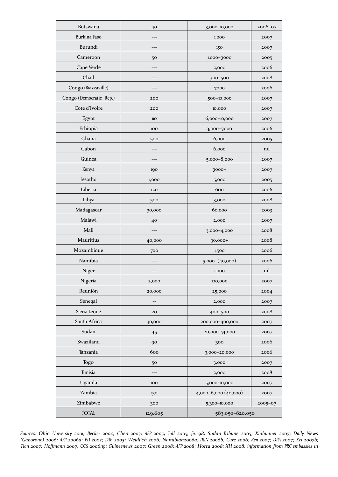| <b>Botswana</b>         | 40                | 3,000-10,000         | 2006-07 |
|-------------------------|-------------------|----------------------|---------|
| Burkina Faso            | $---$             | 1,000<br>2007        |         |
| Burundi                 |                   | 2007<br>150          |         |
| Cameroon                | 1,000-7000<br>50  |                      | 2005    |
| Cape Verde              |                   | 2,000                | 2006    |
| Chad                    | $---$             | 300-500              | 2008    |
| Congo (Brazzaville)     |                   | 7000                 | 2006    |
| Congo (Democratic Rep.) | 200               | 500-10,000           | 2007    |
| Cote d'Ivoire           | 200               | 10,000               | 2007    |
| Egypt                   | $\rm IIO$         | 6,000-10,000         | 2007    |
| Ethiopia                | 100               | 3,000-7000           | 2006    |
| Ghana                   | 500               | 6,000                | 2005    |
| Gabon                   |                   | 6,000                | nd      |
| Guinea<br>$---$         |                   | 5,000-8,000          | 2007    |
| Kenya                   | 190               | 7000+                | 2007    |
| lesotho                 | 1,000             | 5,000                | 2005    |
| Liberia                 | 120               | 600                  | 2006    |
| Libya                   | 500               | 3,000                | 2008    |
| Madagascar              | 30,000            | 60,000               | 2003    |
| Malawi                  | 40                | 2,000                | 2007    |
| Mali                    | ---               | 3,000-4,000          | 2008    |
| Mauritius               | 40,000            | 30,000+              | 2008    |
| Mozambique              | 700               | 1,500                | 2006    |
| Namibia                 | ---               | 5,000 (40,000)       | 2006    |
| Niger                   | ---               | 1,000                | nd      |
| Nigeria                 | 2,000             | 100,000              | 2007    |
| Reunión                 | 20,000            | 25,000               | 2004    |
| Senegal                 | $\qquad \qquad -$ | 2,000                | 2007    |
| Sierra Leone            | 20                | 400-500              | 2008    |
| South Africa            | 30,000            | 200,000-400,000      | 2007    |
| Sudan                   | 45                | 20,000-74,000        | 2007    |
| Swaziland               | 90                | 300                  | 2006    |
| Tanzania                | 600               | 3,000-20,000         | 2006    |
| Togo                    | 50                | 3,000                | 2007    |
| Tunisia                 |                   | 2,000                | 2008    |
| Uganda                  | 100               | 5,000-10,000         | 2007    |
| Zambia                  | 150               | 4,000-6,000 (40,000) | 2007    |
| Zimbabwe                | 300               | 5,300-10,000         | 2005-07 |
| <b>TOTAL</b>            | 129,605           | 583,050-820,050      |         |

Sources: Ohio University 2001; Becker 2004; Chen 2003; AFP 2005; Tull 2005, fn. 98; Sudan Tribune 2005; Xinhuanet 2007; Daily News (Gaborone) 2006; AFP 2006d; PD 2002; DTe 2005; Weidlich 2006; Namibian2006a; IRIN 2006b; Cure 2006; Ren 2007; DPA 2007; XH 2007b; Tian 2007; Hoffmann 2007; CCS 2006:19; Guineenews 2007; Green 2008; AFP 2008; Horta 2008; XH 2008; information from PRC embassies in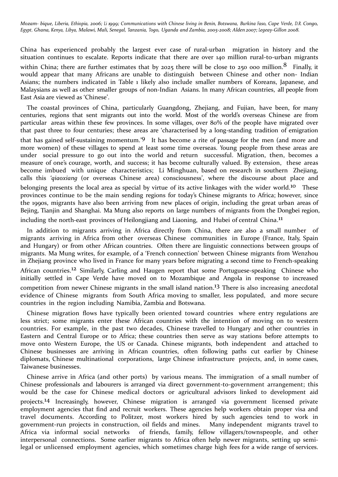Mozam- bique, Liberia, Ethiopia, 2006; Li 1999; Communications with Chinese living in Benin, Botswana, Burkina Faso, Cape Verde, D.R. Congo, Egypt, Ghana, Kenya, Libya, Malawi, Mali, Senegal, Tanzania, Togo, Uganda and Zambia, 2005-2008; Alden 2007; Legeay-Gillon 2008.

China has experienced probably the largest ever case of rural-urban migration in history and the situation continues to escalate. Reports indicate that there are over 140 million rural-to-urban migrants within China; there are further estimates that by 2025 there will be close to 250 000 million.  $8$  Finally, it would appear that many Africans are unable to distinguish between Chinese and other non- Indian Asians; the numbers indicated in Table 1 likely also include smaller numbers of Koreans, Japanese, and Malaysians as well as other smaller groups of non-Indian Asians. In many African countries, all people from East Asia are viewed as 'Chinese'.

The coastal provinces of China, particularly Guangdong, Zhejiang, and Fujian, have been, for many centuries, regions that sent migrants out into the world. Most of the world's overseas Chinese are from particular areas within these few provinces. In some villages, over 80% of the people have migrated over that past three to four centuries; these areas are 'characterised by a long-standing tradition of emigration that has gained self-sustaining momentum.'9 It has become a rite of passage for the men (and more and more women) of these villages to spend at least some time overseas. Young people from these areas are under social pressure to go out into the world and return successful. Migration, then, becomes a measure of one's courage, worth, and success; it has become culturally valued. By extension, these areas become imbued with unique characteristics; Li Minghuan, based on research in southern Zhejiang, calls this *'qiaoxiang* (or overseas Chinese area) consciousness', where the discourse about place and belonging presents the local area as special by virtue of its active linkages with the wider world.<sup>10</sup> These provinces continue to be the main sending regions for today's Chinese migrants to Africa; however, since the 1990s, migrants have also been arriving from new places of origin, including the great urban areas of Bejing, Tianjin and Shanghai. Ma Mung also reports on large numbers of migrants from the Dongbei region, including the north-east provinces of Heilongjiang and Liaoning, and Hubei of central China.<sup>11</sup>

In addition to migrants arriving in Africa directly from China, there are also a small number of migrants arriving in Africa from other overseas Chinese communities in Europe (France, Italy, Spain and Hungary) or from other African countries. Often there are linguistic connections between groups of migrants. Ma Mung writes, for example, of a 'French connection' between Chinese migrants from Wenzhou in Zhejiang province who lived in France for many years before migrating a second time to French-speaking African countries.<sup>12</sup> Similarly, Carling and Haugen report that some Portuguese-speaking Chinese who initially settled in Cape Verde have moved on to Mozambique and Angola in response to increased competition from newer Chinese migrants in the small island nation.<sup>13</sup> There is also increasing anecdotal evidence of Chinese migrants from South Africa moving to smaller, less populated, and more secure countries in the region including Namibia, Zambia and Botswana.

Chinese migration flows have typically been oriented toward countries where entry regulations are less strict; some migrants enter these African countries with the intention of moving on to western countries. For example, in the past two decades, Chinese travelled to Hungary and other countries in Eastern and Central Europe or to Africa; these countries then serve as way stations before attempts to move onto Western Europe, the US or Canada. Chinese migrants, both independent and attached to Chinese businesses are arriving in African countries, often following paths cut earlier by Chinese diplomats, Chinese multinational corporations, large Chinese infrastructure projects, and, in some cases, Taiwanese businesses.

Chinese arrive in Africa (and other ports) by various means. The immigration of a small number of Chinese professionals and labourers is arranged via direct government-to-government arrangement; this would be the case for Chinese medical doctors or agricultural advisors linked to development aid projects.14 Increasingly, however, Chinese migration is arranged via government licensed private employment agencies that find and recruit workers. These agencies help workers obtain proper visa and travel documents. According to Politzer, most workers hired by such agencies tend to work in government-run projects in construction, oil fields and mines. Many independent migrants travel to Africa via informal social networks of friends, family, fellow villagers/townspeople, and other interpersonal connections. Some earlier migrants to Africa often help newer migrants, setting up semilegal or unlicensed employment agencies, which sometimes charge high fees for a wide range of services.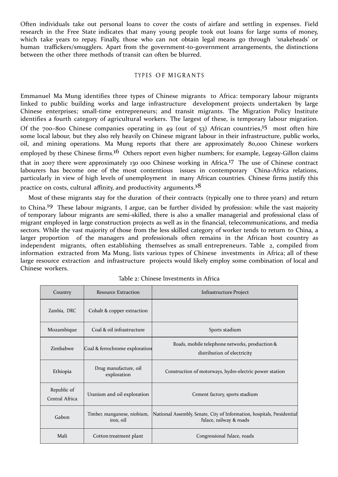Often individuals take out personal loans to cover the costs of airfare and settling in expenses. Field research in the Free State indicates that many young people took out loans for large sums of money, which take years to repay. Finally, those who can not obtain legal means go through 'snakeheads' or human traffickers/smugglers. Apart from the government-to-government arrangements, the distinctions between the other three methods of transit can often be blurred.

## TYPES OF MIGRANTS

Emmanuel Ma Mung identifies three types of Chinese migrants to Africa: temporary labour migrants linked to public building works and large infrastructure development projects undertaken by large Chinese enterprises; small-time entrepreneurs; and transit migrants. The Migration Policy Institute identifies a fourth category of agricultural workers. The largest of these, is temporary labour migration. Of the 700-800 Chinese companies operating in 49 (out of 53) African countries,<sup>15</sup> most often hire some local labour, but they also rely heavily on Chinese migrant labour in their infrastructure, public works, oil, and mining operations. Ma Mung reports that there are approximately 80,000 Chinese workers employed by these Chinese firms.<sup>16</sup> Others report even higher numbers; for example, Legeay-Gillon claims that in 2007 there were approximately 130 000 Chinese working in Africa.17 The use of Chinese contract labourers has become one of the most contentious issues in contemporary China-Africa relations, particularly in view of high levels of unemployment in many African countries. Chinese firms justify this practice on costs, cultural affinity, and productivity arguments.<sup>18</sup>

Most of these migrants stay for the duration of their contracts (typically one to three years) and return to China.19 These labour migrants, I argue, can be further divided by profession: while the vast majority of temporary labour migrants are semi-skilled, there is also a smaller managerial and professional class of migrant employed in large construction projects as well as in the financial, telecommunications, and media sectors. While the vast majority of those from the less skilled category of worker tends to return to China, a larger proportion of the managers and professionals often remains in the African host country as independent migrants, often establishing themselves as small entrepreneurs. Table 2, compiled from information extracted from Ma Mung, lists various types of Chinese investments in Africa; all of these large resource extraction and infrastructure projects would likely employ some combination of local and Chinese workers.

| Country                       | Resource Extraction                      | Infrastructure Project                                                                             |
|-------------------------------|------------------------------------------|----------------------------------------------------------------------------------------------------|
| Zambia, DRC                   | Cobalt & copper extraction               |                                                                                                    |
| Mozambique                    | Coal & oil infrastructure                | Sports stadium                                                                                     |
| Zimbabwe                      | Coal & ferrochrome exploration           | Roads, mobile telephone networks, production &<br>distribution of electricity                      |
| Ethiopia                      | Drug manufacture, oil<br>exploration     | Construction of motorways, hydro-electric power station                                            |
| Republic of<br>Central Africa | Uranium and oil exploration              | Cement factory, sports stadium                                                                     |
| Gabon                         | Timber, manganese, niobium,<br>iron, oil | National Assembly, Senate, City of Information, hospitals, Presidential<br>Palace, railway & roads |
| Mali                          | Cotton treatment plant                   | Congressional Palace, roads                                                                        |

| Table 2: Chinese Investments in Africa |  |  |
|----------------------------------------|--|--|
|----------------------------------------|--|--|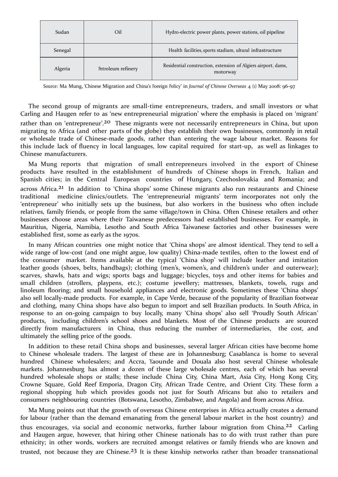| Sudan   | Oil                | Hydro-electric power plants, power stations, oil pipeline                 |
|---------|--------------------|---------------------------------------------------------------------------|
| Senegal |                    | Health facilities, sports stadium, ultural infrastructure                 |
| Algeria | Petroleum refinery | Residential construction, extension of Algiers airport, dams,<br>motorway |

Source: Ma Mung, 'Chinese Migration and China's Foreign <sup>P</sup>olicy' in *Journal of Chinese Overseas* 4 (1) May 2008: 96-97.

The second group of migrants are small-time entrepreneurs, traders, and small investors or what Carling and Haugen refer to as 'new entrepreneurial migration' where the emphasis is placed on 'migrant' rather than on 'entrepreneur'.<sup>20</sup> These migrants were not necessarily entrepreneurs in China, but upon migrating to Africa (and other parts of the globe) they establish their own businesses, commonly in retail or wholesale trade of Chinese-made goods, rather than entering the wage labour market. Reasons for this include lack of fluency in local languages, low capital required for start-up, as well as linkages to Chinese manufacturers.

Ma Mung reports that migration of small entrepreneurs involved in the export of Chinese products have resulted in the establishment of hundreds of Chinese shops in French, Italian and Spanish cities; in the Central European countries of Hungary, Czechoslovakia and Romania; and across Africa.<sup>21</sup> In addition to 'China shops' some Chinese migrants also run restaurants and Chinese traditional medicine clinics/outlets. The 'entrepreneurial migrants' term incorporates not only the 'entrepreneur' who initially sets up the business, but also workers in the business who often include relatives, family friends, or people from the same village/town in China. Often Chinese retailers and other businesses choose areas where their Taiwanese predecessors had established businesses. For example, in Mauritius, Nigeria, Namibia, Lesotho and South Africa Taiwanese factories and other businesses were established first, some as early as the 1970s.

In many African countries one might notice that 'China shops' are almost identical. They tend to sell a wide range of low-cost (and one might argue, low quality) China-made textiles, often to the lowest end of the consumer market. Items available at the typical 'China shop' will include leather and imitation leather goods (shoes, belts, handbags); clothing (men's, women's, and children's under and outerwear); scarves, shawls, hats and wigs; sports bags and luggage; bicycles, toys and other items for babies and small children (strollers, playpens, etc.); costume jewellery; mattresses, blankets, towels, rugs and linoleum flooring; and small household appliances and electronic goods. Sometimes these 'China shops' also sell locally-made products. For example, in Cape Verde, because of the popularity of Brazilian footwear and clothing, many China shops have also begun to import and sell Brazilian products. In South Africa, in response to an on-going campaign to buy locally, many 'China shops' also sell 'Proudly South African' products, including children's school shoes and blankets. Most of the Chinese products are sourced directly from manufacturers in China, thus reducing the number of intermediaries, the cost, and ultimately the selling price of the goods.

In addition to these retail China shops and businesses, several larger African cities have become home to Chinese wholesale traders. The largest of these are in Johannesburg; Casablanca is home to several hundred Chinese wholesalers; and Accra, Yaounde and Douala also host several Chinese wholesale markets. Johannesburg has almost a dozen of these large wholesale centres, each of which has several hundred wholesale shops or stalls; these include China City, China Mart, Asia City, Hong Kong City, Crowne Square, Gold Reef Emporia, Dragon City, African Trade Centre, and Orient City. These form a regional shopping hub which provides goods not just for South Africans but also to retailers and consumers neighbouring countries (Botswana, Lesotho, Zimbabwe, and Angola) and from across Africa.

Ma Mung points out that the growth of overseas Chinese enterprises in Africa actually creates a demand for labour (rather than the demand emanating from the general labour market in the host country) and thus encourages, via social and economic networks, further labour migration from China.<sup>22</sup> Carling and Haugen argue, however, that hiring other Chinese nationals has to do with trust rather than pure ethnicity; in other words, workers are recruited amongst relatives or family friends who are known and trusted, not because they are Chinese.<sup>23</sup> It is these kinship networks rather than broader transnational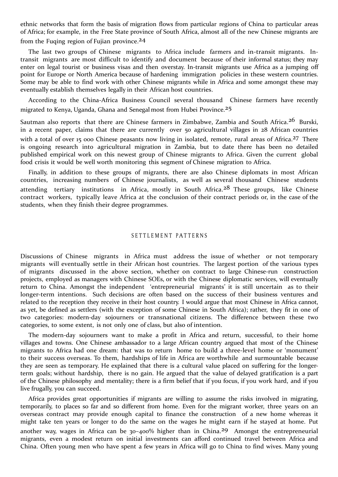ethnic networks that form the basis of migration flows from particular regions of China to particular areas of Africa; for example, in the Free State province of South Africa, almost all of the new Chinese migrants are from the Fuging region of Fujian province.<sup>24</sup>

The last two groups of Chinese migrants to Africa include farmers and in-transit migrants. Intransit migrants are most difficult to identify and document because of their informal status; they may enter on legal tourist or business visas and then overstay. In-transit migrants use Africa as a jumping off point for Europe or North America because of hardening immigration policies in these western countries. Some may be able to find work with other Chinese migrants while in Africa and some amongst these may eventually establish themselves legally in their African host countries.

According to the China-Africa Business Council several thousand Chinese farmers have recently migrated to Kenya, Uganda, Ghana and Senegal most from Hubei Province.25

Sautman also reports that there are Chinese farmers in Zimbabwe, Zambia and South Africa.<sup>26</sup> Burski, in a recent paper, claims that there are currently over 50 agricultural villages in 28 African countries with a total of over 15 000 Chinese peasants now living in isolated, remote, rural areas of Africa.<sup>27</sup> There is ongoing research into agricultural migration in Zambia, but to date there has been no detailed published empirical work on this newest group of Chinese migrants to Africa. Given the current global food crisis it would be well worth monitoring this segment of Chinese migration to Africa.

Finally, in addition to these groups of migrants, there are also Chinese diplomats in most African countries, increasing numbers of Chinese journalists, as well as several thousand Chinese students attending tertiary institutions in Africa, mostly in South Africa.<sup>28</sup> These groups, like Chinese contract workers, typically leave Africa at the conclusion of their contract periods or, in the case of the students, when they finish their degree programmes.

# SETTLEMENT PATTERNS

Discussions of Chinese migrants in Africa must address the issue of whether or not temporary migrants will eventually settle in their African host countries. The largest portion of the various types of migrants discussed in the above section, whether on contract to large Chinese-run construction projects, employed as managers with Chinese SOEs, or with the Chinese diplomatic services, will eventually return to China. Amongst the independent 'entrepreneurial migrants' it is still uncertain as to their longer-term intentions. Such decisions are often based on the success of their business ventures and related to the reception they receive in their host country. I would argue that most Chinese in Africa cannot, as yet, be defined as settlers (with the exception of some Chinese in South Africa); rather, they fit in one of two categories: modern-day sojourners or transnational citizens. The difference between these two categories, to some extent, is not only one of class, but also of intention.

The modern-day sojourners want to make a profit in Africa and return, successful, to their home villages and towns. One Chinese ambassador to a large African country argued that most of the Chinese migrants to Africa had one dream: that was to return home to build a three-level home or 'monument' to their success overseas. To them, hardships of life in Africa are worthwhile and surmountable because they are seen as temporary. He explained that there is a cultural value placed on suffering for the longerterm goals; without hardship, there is no gain. He argued that the value of delayed gratification is a part of the Chinese philosophy and mentality; there is a firm belief that if you focus, if you work hard, and if you live frugally, you can succeed.

Africa provides great opportunities if migrants are willing to assume the risks involved in migrating, temporarily, to places so far and so different from home. Even for the migrant worker, three years on an overseas contract may provide enough capital to finance the construction of a new home whereas it might take ten years or longer to do the same on the wages he might earn if he stayed at home. Put another way, wages in Africa can be 30-400% higher than in China.<sup>29</sup> Amongst the entrepreneurial migrants, even a modest return on initial investments can afford continued travel between Africa and China. Often young men who have spent a few years in Africa will go to China to find wives. Many young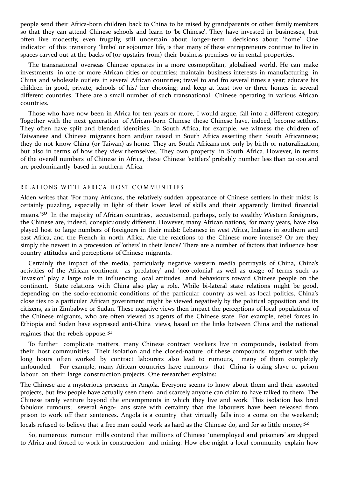people send their Africa-born children back to China to be raised by grandparents or other family members so that they can attend Chinese schools and learn to 'be Chinese'. They have invested in businesses, but often live modestly, even frugally, still uncertain about longer-term decisions about 'home'. One indicator of this transitory 'limbo' or sojourner life, is that many of these entrepreneurs continue to live in spaces carved out at the backs of (or upstairs from) their business premises or in rental properties.

The transnational overseas Chinese operates in a more cosmopolitan, globalised world. He can make investments in one or more African cities or countries; maintain business interests in manufacturing in China and wholesale outlets in several African countries; travel to and fro several times a year; educate his children in good, private, schools of his/ her choosing; and keep at least two or three homes in several different countries. There are a small number of such transnational Chinese operating in various African countries.

Those who have now been in Africa for ten years or more, I would argue, fall into a different category. Together with the next generation of African-born Chinese these Chinese have, indeed, become settlers. They often have split and blended identities. In South Africa, for example, we witness the children of Taiwanese and Chinese migrants born and/or raised in South Africa asserting their South Africanness; they do not know China (or Taiwan) as home. They are South Africans not only by birth or naturalization, but also in terms of how they view themselves. They own property in South Africa. However, in terms of the overall numbers of Chinese in Africa, these Chinese 'settlers' probably number less than 20 000 and are predominantly based in southern Africa.

#### RELATIONS WITH AFRICA HOST COMMUNITIES

Alden writes that 'For many Africans, the relatively sudden appearance of Chinese settlers in their midst is certainly puzzling, especially in light of their lower level of skills and their apparently limited financial means.'30 In the majority of African countries, accustomed, perhaps, only to wealthy Western foreigners, the Chinese are, indeed, conspicuously different. However, many African nations, for many years, have also played host to large numbers of foreigners in their midst: Lebanese in west Africa, Indians in southern and east Africa, and the French in north Africa. Are the reactions to the Chinese more intense? Or are they simply the newest in a procession of 'others' in their lands? There are a number of factors that influence host country attitudes and perceptions of Chinese migrants.

Certainly the impact of the media, particularly negative western media portrayals of China, China's activities of the African continent as 'predatory' and 'neo-colonial' as well as usage of terms such as 'invasion' play a large role in influencing local attitudes and behaviours toward Chinese people on the continent. State relations with China also play a role. While bi-lateral state relations might be good, depending on the socio-economic conditions of the particular country as well as local politics, China's close ties to a particular African government might be viewed negatively by the political opposition and its citizens, as in Zimbabwe or Sudan. These negative views then impact the perceptions of local populations of the Chinese migrants, who are often viewed as agents of the Chinese state. For example, rebel forces in Ethiopia and Sudan have expressed anti-China views, based on the links between China and the national regimes that the rebels oppose. $3<sup>1</sup>$ 

To further complicate matters, many Chinese contract workers live in compounds, isolated from their host communities. Their isolation and the closed-nature of these compounds together with the long hours often worked by contract labourers also lead to rumours, many of them completely unfounded. For example, many African countries have rumours that China is using slave or prison labour on their large construction projects. One researcher explains:

The Chinese are a mysterious presence in Angola. Everyone seems to know about them and their assorted projects, but few people have actually seen them, and scarcely anyone can claim to have talked to them. The Chinese rarely venture beyond the encampments in which they live and work. This isolation has bred fabulous rumours; several Ango- lans state with certainty that the labourers have been released from prison to work off their sentences. Angola is a country that virtually falls into a coma on the weekend; locals refused to believe that a free man could work as hard as the Chinese do, and for so little money.<sup>32</sup>

So, numerous rumour mills contend that millions of Chinese 'unemployed and prisoners' are shipped to Africa and forced to work in construction and mining. How else might a local community explain how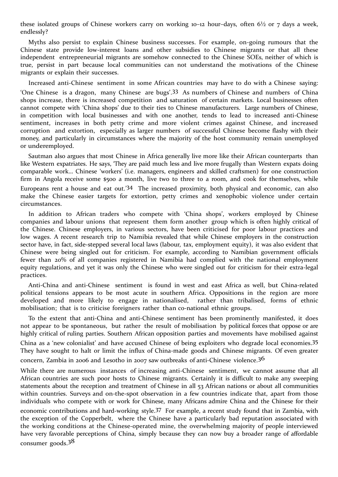these isolated groups of Chinese workers carry on working 10-12 hour-days, often  $6\frac{1}{2}$  or 7 days a week, endlessly?

Myths also persist to explain Chinese business successes. For example, on-going rumours that the Chinese state provide low-interest loans and other subsidies to Chinese migrants or that all these independent entrepreneurial migrants are somehow connected to the Chinese SOEs, neither of which is true, persist in part because local communities can not understand the motivations of the Chinese migrants or explain their successes.

Increased anti-Chinese sentiment in some African countries may have to do with a Chinese saying:

'One Chinese is a dragon, many Chinese are bugs'.33 As numbers of Chinese and numbers of China shops increase, there is increased competition and saturation of certain markets. Local businesses often cannot compete with 'China shops' due to their ties to Chinese manufacturers. Large numbers of Chinese, in competition with local businesses and with one another, tends to lead to increased anti-Chinese sentiment, increases in both petty crime and more violent crimes against Chinese, and increased corruption and extortion, especially as larger numbers of successful Chinese become flashy with their money, and particularly in circumstances where the majority of the host community remain unemployed or underemployed.

Sautman also argues that most Chinese in Africa generally live more like their African counterparts than like Western expatriates. He says, 'They are paid much less and live more frugally than Western expats doing comparable work… Chinese 'workers' (i.e. managers, engineers and skilled craftsmen) for one construction firm in Angola receive some \$500 a month, live two to three to a room, and cook for themselves, while Europeans rent a house and eat out.'34 The increased proximity, both physical and economic, can also make the Chinese easier targets for extortion, petty crimes and xenophobic violence under certain circumstances.

In addition to African traders who compete with 'China shops', workers employed by Chinese companies and labour unions that represent them form another group which is often highly critical of the Chinese. Chinese employers, in various sectors, have been criticised for poor labour practices and low wages. A recent research trip to Namibia revealed that while Chinese employers in the construction sector have, in fact, side-stepped several local laws (labour, tax, employment equity), it was also evident that Chinese were being singled out for criticism. For example, according to Namibian government officials fewer than 20% of all companies registered in Namibia had complied with the national employment equity regulations, and yet it was only the Chinese who were singled out for criticism for their extra-legal practices.

Anti-China and anti-Chinese sentiment is found in west and east Africa as well, but China-related political tensions appears to be most acute in southern Africa. Oppositions in the region are more developed and more likely to engage in nationalised, rather than tribalised, forms of ethnic mobilisation; that is to criticise foreigners rather than co-national ethnic groups.

To the extent that anti-China and anti-Chinese sentiment has been prominently manifested, it does not appear to be spontaneous, but rather the result of mobilisation by political forces that oppose or are highly critical of ruling parties. Southern African opposition parties and movements have mobilised against

China as a 'new colonialist' and have accused Chinese of being exploiters who degrade local economies.35 They have sought to halt or limit the influx of China-made goods and Chinese migrants. Of even greater concern, Zambia in 2006 and Lesotho in 2007 saw outbreaks of anti-Chinese violence.<sup>36</sup>

While there are numerous instances of increasing anti-Chinese sentiment, we cannot assume that all African countries are such poor hosts to Chinese migrants. Certainly it is difficult to make any sweeping statements about the reception and treatment of Chinese in all 53 African nations or about all communities within countries. Surveys and on-the-spot observation in a few countries indicate that, apart from those individuals who compete with or work for Chinese, many Africans admire China and the Chinese for their

economic contributions and hard-working style.37 For example, a recent study found that in Zambia, with the exception of the Copperbelt, where the Chinese have a particularly bad reputation associated with the working conditions at the Chinese-operated mine, the overwhelming majority of people interviewed have very favorable perceptions of China, simply because they can now buy a broader range of affordable consumer goods.<sup>38</sup>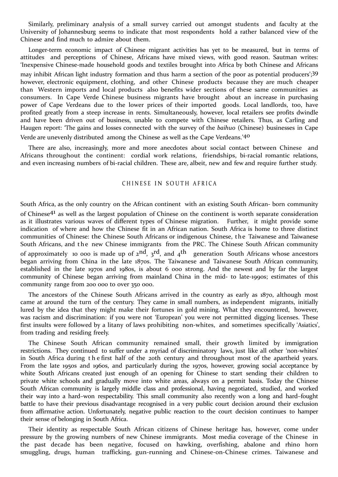Similarly, preliminary analysis of a small survey carried out amongst students and faculty at the University of Johannesburg seems to indicate that most respondents hold a rather balanced view of the Chinese and find much to admire about them.

Longer-term economic impact of Chinese migrant activities has yet to be measured, but in terms of attitudes and perceptions of Chinese, Africans have mixed views, with good reason. Sautman writes: 'Inexpensive Chinese-made household goods and textiles brought into Africa by both Chinese and Africans may inhibit African light industry formation and thus harm a section of the poor as potential producers';39 however, electronic equipment, clothing, and other Chinese products because they are much cheaper than Western imports and local products also benefits wider sections of these same communities as consumers. In Cape Verde Chinese business migrants have brought about an increase in purchasing power of Cape Verdeans due to the lower prices of their imported goods. Local landlords, too, have profited greatly from a steep increase in rents. Simultaneously, however, local retailers see profits dwindle and have been driven out of business, unable to compete with Chinese retailers. Thus, as Carling and Haugen report: 'The gains and losses connected with the survey of the *baihuo* (Chinese) businesses in Cape Verde are unevenly distributed among the Chinese as well as the Cape Verdeans.'40

There are also, increasingly, more and more anecdotes about social contact between Chinese and Africans throughout the continent: cordial work relations, friendships, bi-racial romantic relations, and even increasing numbers of bi-racial children. These are, albeit, new and few and require further study.

# CHINESE IN SOUTH AFRICA

South Africa, as the only country on the African continent with an existing South African- born community of Chinese41 as well as the largest population of Chinese on the continent is worth separate consideration as it illustrates various waves of different types of Chinese migration. Further, it might provide some indication of where and how the Chinese fit in an African nation. South Africa is home to three distinct communities of Chinese: the Chinese South Africans or indigenous Chinese, the Taiwanese and Taiwanese South Africans, and the new Chinese immigrants from the PRC. The Chinese South African community of approximately 10 000 is made up of 2<sup>nd</sup>, 3<sup>rd</sup>, and 4<sup>th</sup> generation South Africans whose ancestors began arriving from China in the late 1870s. The Taiwanese and Taiwanese South African community, established in the late 1970s and 1980s, is about 6 000 strong. And the newest and by far the largest community of Chinese began arriving from mainland China in the mid- to late-1990s; estimates of this community range from 200 000 to over 350 000.

The ancestors of the Chinese South Africans arrived in the country as early as 1870, although most came at around the turn of the century. They came in small numbers, as independent migrants, initially lured by the idea that they might make their fortunes in gold mining. What they encountered, however, was racism and discrimination: if you were not 'European' you were not permitted digging licenses. These first insults were followed by a litany of laws prohibiting non-whites, and sometimes specifically 'Asiatics', from trading and residing freely.

The Chinese South African community remained small, their growth limited by immigration restrictions. They continued to suffer under a myriad of discriminatory laws, just like all other 'non-whites' in South Africa during t h e first half of the 20th century and throughout most of the apartheid years. From the late 1950s and 1960s, and particularly during the 1970s, however, growing social acceptance by white South Africans created just enough of an opening for Chinese to start sending their children to private white schools and gradually move into white areas, always on a permit basis. Today the Chinese South African community is largely middle class and professional, having negotiated, studied, and worked their way into a hard–won respectability. This small community also recently won a long and hard–fought battle to have their previous disadvantage recognised in a very public court decision around their exclusion from affirmative action. Unfortunately, negative public reaction to the court decision continues to hamper their sense of belonging in South Africa.

Their identity as respectable South African citizens of Chinese heritage has, however, come under pressure by the growing numbers of new Chinese immigrants. Most media coverage of the Chinese in the past decade has been negative, focused on hawking, overfishing, abalone and rhino horn smuggling, drugs, human trafficking, gun-running and Chinese-on-Chinese crimes. Taiwanese and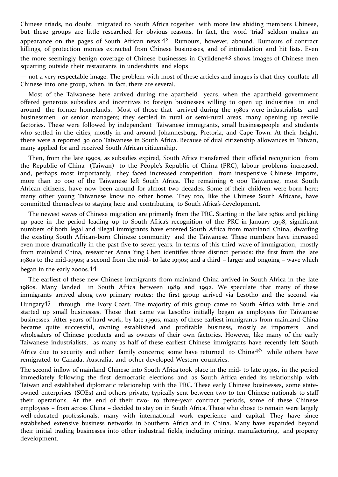Chinese triads, no doubt, migrated to South Africa together with more law abiding members Chinese, but these groups are little researched for obvious reasons. In fact, the word 'triad' seldom makes an appearance on the pages of South African news.42 Rumours, however, abound. Rumours of contract killings, of protection monies extracted from Chinese businesses, and of intimidation and hit lists. Even the more seemingly benign coverage of Chinese businesses in Cyrildene43 shows images of Chinese men squatting outside their restaurants in undershirts and slops

— not a very respectable image. The problem with most of these articles and images is that they conflate all Chinese into one group, when, in fact, there are several.

Most of the Taiwanese here arrived during the apartheid years, when the apartheid government offered generous subsidies and incentives to foreign businesses willing to open up industries in and around the former homelands. Most of those that arrived during the 1980s were industrialists and businessmen or senior managers; they settled in rural or semi-rural areas, many opening up textile factories. These were followed by independent Taiwanese immigrants, small businesspeople and students who settled in the cities, mostly in and around Johannesburg, Pretoria, and Cape Town. At their height, there were a reported 30 000 Taiwanese in South Africa. Because of dual citizenship allowances in Taiwan, many applied for and received South African citizenship.

Then, from the late 1990s, as subsidies expired, South Africa transferred their official recognition from the Republic of China (Taiwan) to the People's Republic of China (PRC), labour problems increased, and, perhaps most importantly, they faced increased competition from inexpensive Chinese imports, more than 20 000 of the Taiwanese left South Africa. The remaining 6 000 Taiwanese, most South African citizens, have now been around for almost two decades. Some of their children were born here; many other young Taiwanese know no other home. They too, like the Chinese South Africans, have committed themselves to staying here and contributing to South Africa's development.

The newest waves of Chinese migration are primarily from the PRC. Starting in the late 1980s and picking up pace in the period leading up to South Africa's recognition of the PRC in January 1998, significant numbers of both legal and illegal immigrants have entered South Africa from mainland China, dwarfing the existing South African-born Chinese community and the Taiwanese. These numbers have increased even more dramatically in the past five to seven years. In terms of this third wave of immigration, mostly from mainland China, researcher Anna Ying Chen identifies three distinct periods: the first from the late 1980s to the mid-1990s; a second from the mid- to late 1990s; and a third – larger and ongoing – wave which

# began in the early 2000s. 44

The earliest of these new Chinese immigrants from mainland China arrived in South Africa in the late 1980s. Many landed in South Africa between 1989 and 1992. We speculate that many of these immigrants arrived along two primary routes: the first group arrived via Lesotho and the second via Hungary45 through the Ivory Coast. The majority of this group came to South Africa with little and started up small businesses. Those that came via Lesotho initially began as employees for Taiwanese businesses. After years of hard work, by late 1990s, many of these earliest immigrants from mainland China became quite successful, owning established and profitable business, mostly as importers and wholesalers of Chinese products and as owners of their own factories. However, like many of the early Taiwanese industrialists, as many as half of these earliest Chinese immigrants have recently left South Africa due to security and other family concerns; some have returned to China<sup>46</sup> while others have remigrated to Canada, Australia, and other developed Western countries.

The second inflow of mainland Chinese into South Africa took place in the mid- to late 1990s, in the period immediately following the first democratic elections and as South Africa ended its relationship with Taiwan and established diplomatic relationship with the PRC. These early Chinese businesses, some stateowned enterprises (SOEs) and others private, typically sent between two to ten Chinese nationals to staff their operations. At the end of their two- to three-year contract periods, some of these Chinese employees – from across China – decided to stay on in South Africa. Those who chose to remain were largely well-educated professionals, many with international work experience and capital. They have since established extensive business networks in Southern Africa and in China. Many have expanded beyond their initial trading businesses into other industrial fields, including mining, manufacturing, and property development.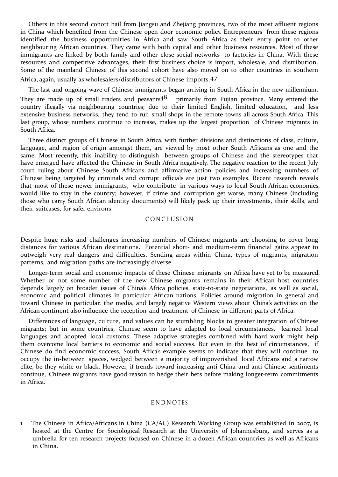Others in this second cohort hail from Jiangsu and Zhejiang provinces, two of the most affluent regions in China which benefited from the Chinese open door economic policy. Entrepreneurs from these regions identified the business opportunities in Africa and saw South Africa as their entry point to other neighbouring African countries. They came with both capital and other business resources. Most of these immigrants are linked by both family and other close social networks to factories in China. With these resources and competitive advantages, their first business choice is import, wholesale, and distribution. Some of the mainland Chinese of this second cohort have also moved on to other countries in southern

Africa, again, usually as wholesalers/distributors of Chinese imports.47

The last and ongoing wave of Chinese immigrants began arriving in South Africa in the new millennium. They are made up of small traders and peasants<sup>48</sup> primarily from Fujian province. Many entered the country illegally via neighbouring countries; due to their limited English, limited education, and less extensive business networks, they tend to run small shops in the remote towns all across South Africa. This last group, whose numbers continue to increase, makes up the largest proportion of Chinese migrants in South Africa.

Three distinct groups of Chinese in South Africa, with further divisions and distinctions of class, culture, language, and region of origin amongst them, are viewed by most other South Africans as one and the same. Most recently, this inability to distinguish between groups of Chinese and the stereotypes that have emerged have affected the Chinese in South Africa negatively. The negative reaction to the recent July court ruling about Chinese South Africans and affirmative action policies and increasing numbers of Chinese being targeted by criminals and corrupt officials are just two examples. Recent research reveals that most of these newer immigrants, who contribute in various ways to local South African economies, would like to stay in the country; however, if crime and corruption get worse, many Chinese (including those who carry South African identity documents) will likely pack up their investments, their skills, and their suitcases, for safer environs.

# **CONCLUSION**

Despite huge risks and challenges increasing numbers of Chinese migrants are choosing to cover long distances for various African destinations. Potential short- and medium-term financial gains appear to outweigh very real dangers and difficulties. Sending areas within China, types of migrants, migration patterns, and migration paths are increasingly diverse.

Longer-term social and economic impacts of these Chinese migrants on Africa have yet to be measured. Whether or not some number of the new Chinese migrants remains in their African host countries depends largely on broader issues of China's Africa policies, state-to-state negotiations, as well as social, economic and political climates in particular African nations. Policies around migration in general and toward Chinese in particular, the media, and largely negative Western views about China's activities on the African continent also influence the reception and treatment of Chinese in different parts of Africa.

Differences of language, culture, and values can be stumbling blocks to greater integration of Chinese migrants; but in some countries, Chinese seem to have adapted to local circumstances, learned local languages and adopted local customs. These adaptive strategies combined with hard work might help them overcome local barriers to economic and social success. But even in the best of circumstances, if Chinese do find economic success, South Africa's example seems to indicate that they will continue to occupy the in-between spaces, wedged between a majority of impoverished local Africans and a narrow elite, be they white or black. However, if trends toward increasing anti-China and anti-Chinese sentiments continue, Chinese migrants have good reason to hedge their bets before making longer-term commitments in Africa.

# **ENDNOTES**

1 The Chinese in Africa/Africans in China (CA/AC) Research Working Group was established in 2007, is hosted at the Centre for Sociological Research at the University of Johannesburg, and serves as a umbrella for ten research projects focused on Chinese in a dozen African countries as well as Africans in China.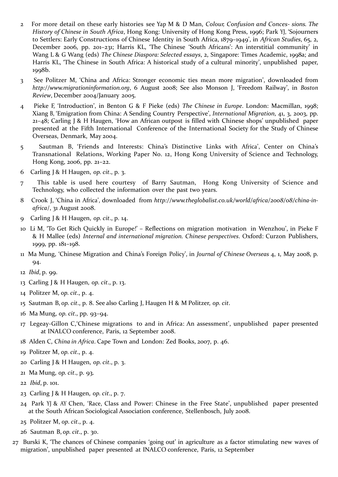- 2 For more detail on these early histories see Yap M & D Man, *Colour, Confusion and Conces- sions. The History of Chinese in South Africa*, Hong Kong: University of Hong Kong Press, 1996; Park YJ, 'Sojourners to Settlers: Early Constructions of Chinese Identity in South Africa, 1879–1949', in *African Studies*, 65, 2, December 2006, pp. 201–231; Harris KL, 'The Chinese 'South Africans': An interstitial community' in Wang L & G Wang (eds) *The Chinese Diaspora: Selected essays*, 2, Singapore: Times Academic, 1998a; and Harris KL, 'The Chinese in South Africa: A historical study of a cultural minority', unpublished paper, 1998b.
- 3 See Politzer M, 'China and Africa: Stronger economic ties mean more migration', downloaded from *[http://www.migrationinformation.org](http://www.migrationinformation.org/)*, 6 August 2008; See also Monson J, 'Freedom Railway', in *Boston Review*, December 2004/January 2005.
- 4 Pieke F, 'Introduction', in Benton G & F Pieke (eds) *The Chinese in Europe*. London: Macmillan, 1998; Xiang B, 'Emigration from China: A Sending Country Perspective', *International Migration*, 41, 3, 2003, pp. 21–48; Carling J & H Haugen, 'How an African outpost is filled with Chinese shops' unpublished paper presented at the Fifth International Conference of the International Society for the Study of Chinese Overseas, Denmark, May 2004.
- 5 Sautman B, 'Friends and Interests: China's Distinctive Links with Africa', Center on China's Transnational Relations, Working Paper No. 12, Hong Kong University of Science and Technology, Hong Kong, 2006, pp. 21–22.
- 6 Carling J & H Haugen, *op. cit*., p. 3.
- 7 This table is used here courtesy of Barry Sautman, Hong Kong University of Science and Technology, who collected the information over the past two years.
- 8 Crook J, 'China in Africa', downloaded from *[http://www.theglobalist.co.uk/world/africa/2008/08/c](http://www.theglobalist.co.uk/world/africa/2008/08/)hina-inafrica*/, 31 August 2008.
- 9 Carling J & H Haugen, *op. cit*., p. 14.
- 10 Li M, ''To Get Rich Quickly in Europe!' Reflections on migration motivation in Wenzhou', in Pieke F & H Mallee (eds) *Internal and international migration. Chinese perspectives*. Oxford: Curzon Publishers, 1999, pp. 181–198.
- 11 Ma Mung, 'Chinese Migration and China's Foreign Policy', in *Journal of Chinese Overseas* 4, 1, May 2008, p. 94.

- 13 Carling J & H Haugen, *op. cit*., p. 13.
- 14 Politzer M, *op. cit*., p. 4.
- 15 Sautman B, *op. cit*., p. 8. See also Carling J, Haugen H & M Politzer, *op. cit*.
- 16 Ma Mung, *op. cit*., pp. 93–94.
- 17 Legeay-Gillon C,'Chinese migrations to and in Africa: An assessment', unpublished paper presented at INALCO conference, Paris, 12 September 2008.
- 18 Alden C, *China in Africa*. Cape Town and London: Zed Books, 2007, p. 46.
- 19 Politzer M, *op. cit*., p. 4.
- 20 Carling J & H Haugen, *op. cit*., p. 3.
- 21 Ma Mung, *op. cit*., p. 93.
- 22 *Ibid*, p. 101.
- 23 Carling J & H Haugen, *op. cit*., p. 7.
- 24 Park YJ & AY Chen, 'Race, Class and Power: Chinese in the Free State', unpublished paper presented at the South African Sociological Association conference, Stellenbosch, July 2008.
- 25 Politzer M, *op. cit*., p. 4.
- 26 Sautman B, *op. cit*., p. 30.
- 27 Burski K, 'The chances of Chinese companies 'going out' in agriculture as a factor stimulating new waves of migration', unpublished paper presented at INALCO conference, Paris, 12 September

<sup>12</sup> *Ibid*, p. 99.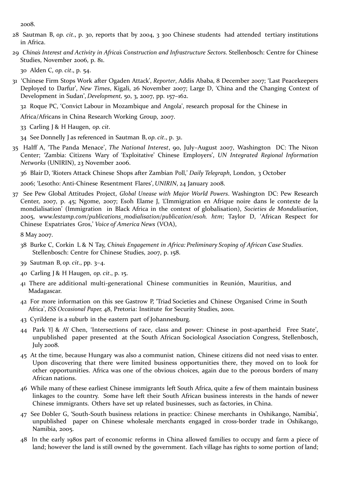2008.

- 28 Sautman B, *op. cit*., p. 30, reports that by 2004, 3 300 Chinese students had attended tertiary institutions in Africa.
- 29 *China's Interest and Activity in Africa's Construction and Infrastructure Sectors*. Stellenbosch: Centre for Chinese Studies, November 2006, p. 81.

30 Alden C, *op. cit*., p. 54.

31 'Chinese Firm Stops Work after Ogaden Attack', *Reporter*, Addis Ababa, 8 December 2007; 'Last Peacekeepers Deployed to Darfur', *New Times*, Kigali, 26 November 2007; Large D, 'China and the Changing Context of Development in Sudan', *Development,* 50, 3, 2007, pp. 157–162.

32 Roque PC, 'Convict Labour in Mozambique and Angola', research proposal for the Chinese in

Africa/Africans in China Research Working Group, 2007.

- 33 Carling J & H Haugen, *op. cit*.
- 34 See Donnelly J as referenced in Sautman B, *op. cit*., p. 31.
- 35 Halff A, 'The Panda Menace', *The National Interest*, 90, July–August 2007, Washington DC: The Nixon Center; 'Zambia: Citizens Wary of 'Exploitative' Chinese Employers', *UN Integrated Regional Information Networks* (UNIRIN), 23 November 2006.

36 Blair D, 'Rioters Attack Chinese Shops after Zambian Poll,' *Daily Telegraph*, London, 3 October

2006; 'Lesotho: Anti-Chinese Resentment Flares', *UNIRIN*, 24 January 2008.

37 See Pew Global Attitudes Project, *Global Unease with Major World Powers*. Washington DC: Pew Research Center, 2007, p. 45; Ngome, 2007; Esoh Elame J, 'L'Immigration en Afrique noire dans le contexte de la mondialisation' (Immigration in Black Africa in the context of globalisation), *Societies de Mondalisation*, 2005, *[www.lestamp.com/publications\\_modialisation/publication/esoh. h](http://www.lestamp.com/publications_modialisation/publication/esoh)tm*; Taylor D, 'African Respect for Chinese Expatriates Gros,' *Voice of America News* (VOA),

8 May 2007.

- 38 Burke C, Corkin L & N Tay, *China's Engagement in Africa: Preliminary Scoping of African Case Studies*. Stellenbosch: Centre for Chinese Studies, 2007, p. 158.
- 39 Sautman B, *op. cit*., pp. 3–4.
- 40 Carling J & H Haugen, *op. cit*., p. 15.
- 41 There are additional multi-generational Chinese communities in Reunión, Mauritius, and Madagascar.
- 42 For more information on this see Gastrow P, 'Triad Societies and Chinese Organised Crime in South Africa', *ISS Occasional Paper,* 48, Pretoria: Institute for Security Studies, 2001.
- 43 Cyrildene is a suburb in the eastern part of Johannesburg.
- 44 Park YJ & AY Chen, 'Intersections of race, class and power: Chinese in post-apartheid Free State', unpublished paper presented at the South African Sociological Association Congress, Stellenbosch, July 2008.
- 45 At the time, because Hungary was also a communist nation, Chinese citizens did not need visas to enter. Upon discovering that there were limited business opportunities there, they moved on to look for other opportunities. Africa was one of the obvious choices, again due to the porous borders of many African nations.
- 46 While many of these earliest Chinese immigrants left South Africa, quite a few of them maintain business linkages to the country. Some have left their South African business interests in the hands of newer Chinese immigrants. Others have set up related businesses, such as factories, in China.
- 47 See Dobler G, 'South-South business relations in practice: Chinese merchants in Oshikango, Namibia', unpublished paper on Chinese wholesale merchants engaged in cross-border trade in Oshikango, Namibia, 2005.
- 48 In the early 1980s part of economic reforms in China allowed families to occupy and farm a piece of land; however the land is still owned by the government. Each village has rights to some portion of land;